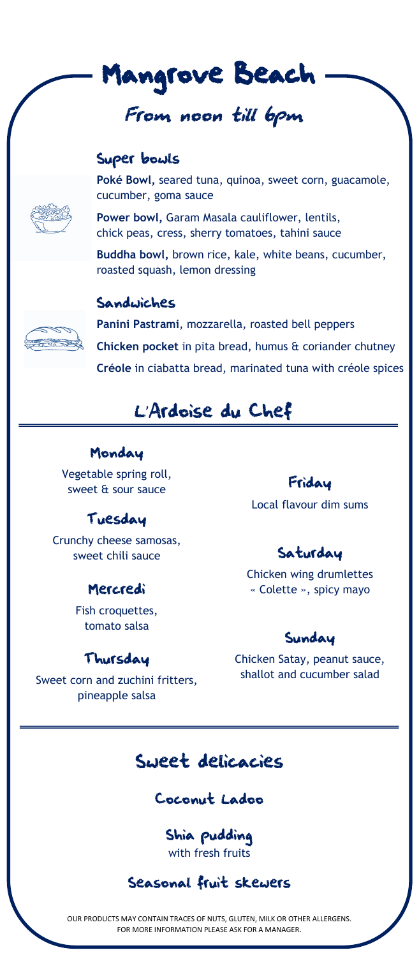

# From noon till 6pm

### Super bowls



**Poké Bowl,** seared tuna, quinoa, sweet corn, guacamole, cucumber, goma sauce

**Power bowl,** Garam Masala cauliflower, lentils, chick peas, cress, sherry tomatoes, tahini sauce

**Buddha bowl,** brown rice, kale, white beans, cucumber, roasted squash, lemon dressing

#### Sandwiches



**Panini Pastrami**, mozzarella, roasted bell peppers **Chicken pocket** in pita bread, humus & coriander chutney **Créole** in ciabatta bread, marinated tuna with créole spices

# L'Ardoise du Chef

### Monday

Vegetable spring roll, sweet & sour sauce

## Tuesday

Crunchy cheese samosas, sweet chili sauce

### Mercredi

Fish croquettes, tomato salsa

### Thursday

Sweet corn and zuchini fritters, pineapple salsa

### Friday

Local flavour dim sums

# Saturday

Chicken wing drumlettes « Colette », spicy mayo

#### Sunday

Chicken Satay, peanut sauce, shallot and cucumber salad

# Sweet delicacies

## Coconut Ladoo

Shia pudding with fresh fruits

## Seasonal fruit skewers

OUR PRODUCTS MAY CONTAIN TRACES OF NUTS, GLUTEN, MILK OR OTHER ALLERGENS. FOR MORE INFORMATION PLEASE ASK FOR A MANAGER.